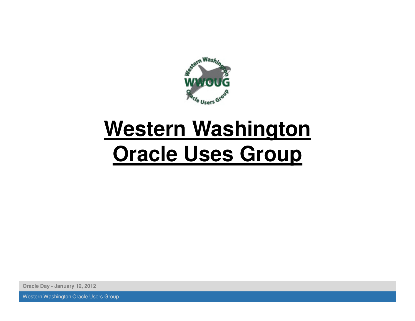

# **Western WashingtonOracle Uses Group**

**Oracle Day - January 12, 2012**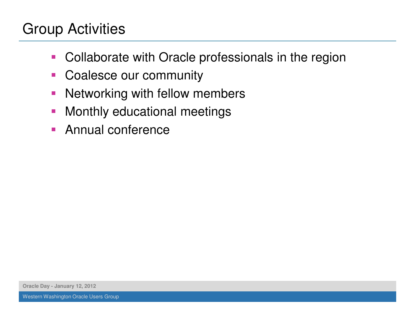#### Group Activities

- $\mathcal{L}_{\mathcal{A}}$ Collaborate with Oracle professionals in the region
- $\mathcal{L}_{\mathcal{A}}$ Coalesce our community
- $\mathcal{L}_{\mathcal{A}}$ Networking with fellow members
- $\overline{\mathbb{R}}$ Monthly educational meetings
- **Annual conference**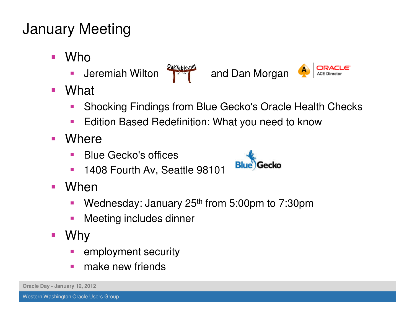### January Meeting

- $\overline{\phantom{a}}$  Who
	- **Jeremiah Wilton <b>Properties** and Dan Morgan  $\mathcal{L}_{\mathcal{A}}$
- $\overline{\phantom{a}}$ **What** 
	- Shocking Findings from Blue Gecko's Oracle Health Checks
	- $\mathcal{L}_{\mathcal{A}}$ Edition Based Redefinition: What you need to know
- $\mathcal{L}_{\mathcal{A}}$ **Where** 
	- $\mathcal{L}_{\mathcal{A}}$ Blue Gecko's offices
	- $\overline{\phantom{a}}$ 1408 Fourth Av, Seattle 98101
- When
	- Wednesday: January 25<sup>th</sup> from 5:00pm to 7:30pm  $\mathcal{L}_{\mathcal{A}}$
	- $\mathcal{L}_{\mathcal{A}}$ Meeting includes dinner
- $\mathcal{L}_{\mathcal{A}}$  Why
	- employment security
	- $\mathcal{L}^{\mathcal{L}}$ make new friends



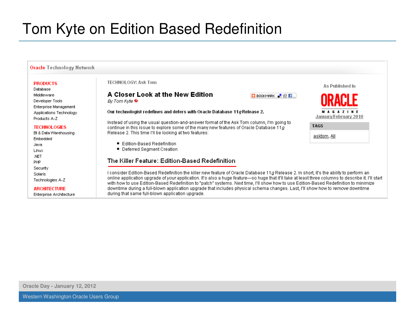#### Tom Kyte on Edition Based Redefinition

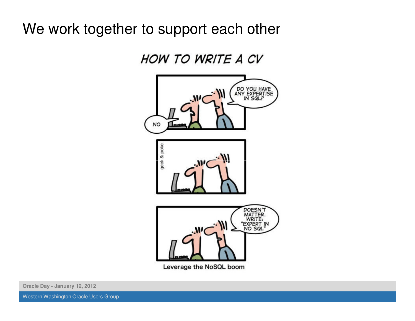#### We work together to support each other



Leverage the NoSQL boom

**Oracle Day - January 12, 2012**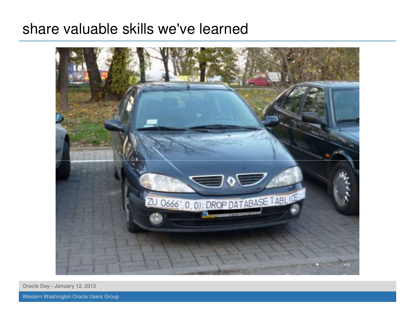#### share valuable skills we've learned



**Oracle Day - January 12, 2012**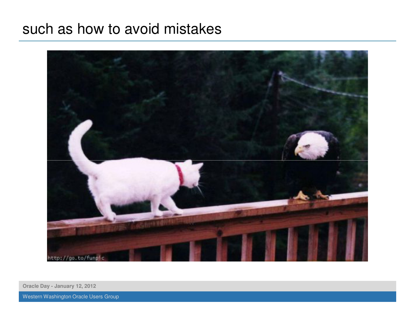#### such as how to avoid mistakes



**Oracle Day - January 12, 2012**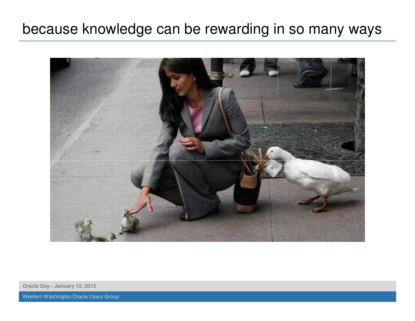#### because knowledge can be rewarding in so many ways



**Oracle Day - January 12, 2012**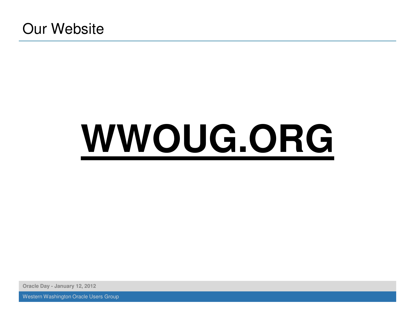# **WWOUG.ORG**

**Oracle Day - January 12, 2012**